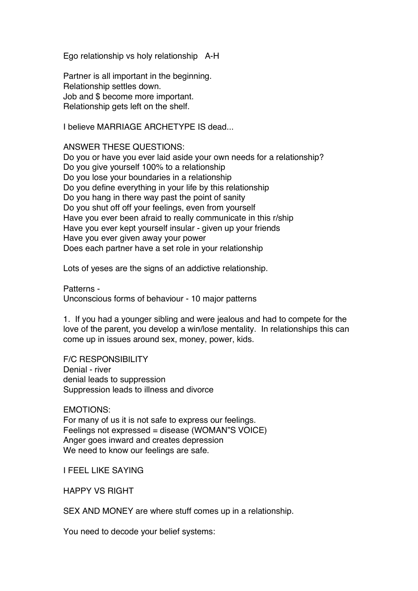Ego relationship vs holy relationship A-H

Partner is all important in the beginning. Relationship settles down. Job and \$ become more important. Relationship gets left on the shelf.

I believe MARRIAGE ARCHETYPE IS dead...

ANSWER THESE QUESTIONS:

Do you or have you ever laid aside your own needs for a relationship? Do you give yourself 100% to a relationship Do you lose your boundaries in a relationship Do you define everything in your life by this relationship Do you hang in there way past the point of sanity Do you shut off off your feelings, even from yourself Have you ever been afraid to really communicate in this r/ship Have you ever kept yourself insular - given up your friends Have you ever given away your power Does each partner have a set role in your relationship

Lots of yeses are the signs of an addictive relationship.

Patterns - Unconscious forms of behaviour - 10 major patterns

1. If you had a younger sibling and were jealous and had to compete for the love of the parent, you develop a win/lose mentality. In relationships this can come up in issues around sex, money, power, kids.

F/C RESPONSIBILITY Denial - river denial leads to suppression Suppression leads to illness and divorce

EMOTIONS: For many of us it is not safe to express our feelings. Feelings not expressed = disease (WOMAN"S VOICE) Anger goes inward and creates depression We need to know our feelings are safe.

I FEEL LIKE SAYING

HAPPY VS RIGHT

SEX AND MONEY are where stuff comes up in a relationship.

You need to decode your belief systems: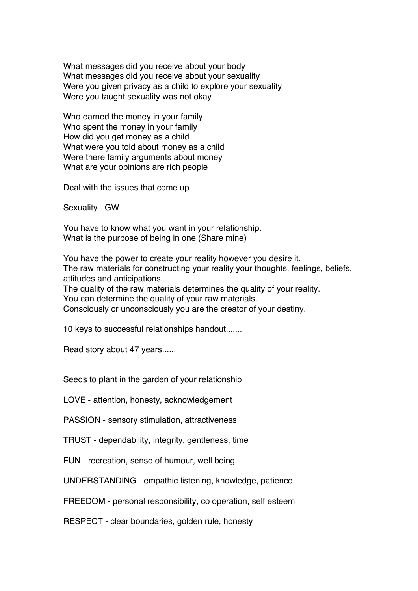What messages did you receive about your body What messages did you receive about your sexuality Were you given privacy as a child to explore your sexuality Were you taught sexuality was not okay

Who earned the money in your family Who spent the money in your family How did you get money as a child What were you told about money as a child Were there family arguments about money What are your opinions are rich people

Deal with the issues that come up

Sexuality - GW

You have to know what you want in your relationship. What is the purpose of being in one (Share mine)

You have the power to create your reality however you desire it. The raw materials for constructing your reality your thoughts, feelings, beliefs, attitudes and anticipations.

The quality of the raw materials determines the quality of your reality. You can determine the quality of your raw materials. Consciously or unconsciously you are the creator of your destiny.

10 keys to successful relationships handout.......

Read story about 47 years......

Seeds to plant in the garden of your relationship

LOVE - attention, honesty, acknowledgement

PASSION - sensory stimulation, attractiveness

TRUST - dependability, integrity, gentleness, time

FUN - recreation, sense of humour, well being

UNDERSTANDING - empathic listening, knowledge, patience

FREEDOM - personal responsibility, co operation, self esteem

RESPECT - clear boundaries, golden rule, honesty